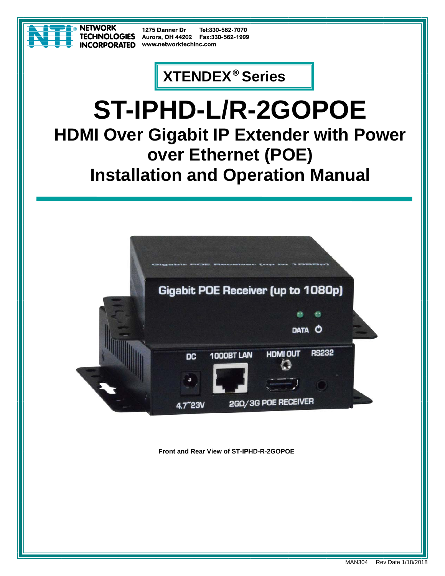

**NETWORK CORPORATED** 

1275 Danner Dr Tel:330-562-7070 **ECHNOLOGIES** Aurora, OH 44202 Fax:330-562-1999 www.networktechinc.com

## **XTENDEX® Series**

# **ST-IPHD-L/R-2GOPOE HDMI Over Gigabit IP Extender with Power over Ethernet (POE) Installation and Operation Manual**



**Front and Rear View of ST-IPHD-R-2GOPOE**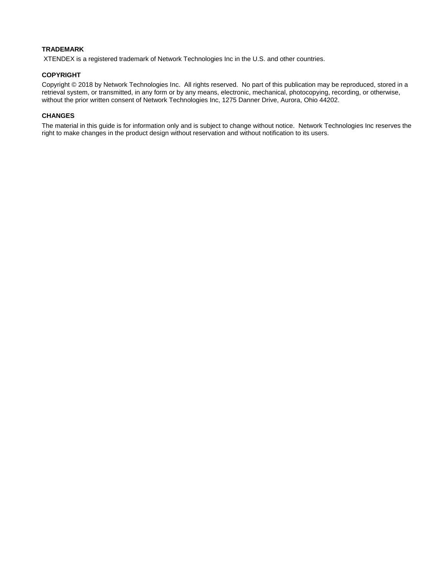### **TRADEMARK**

XTENDEX is a registered trademark of Network Technologies Inc in the U.S. and other countries.

#### **COPYRIGHT**

Copyright © 2018 by Network Technologies Inc. All rights reserved. No part of this publication may be reproduced, stored in a retrieval system, or transmitted, in any form or by any means, electronic, mechanical, photocopying, recording, or otherwise, without the prior written consent of Network Technologies Inc, 1275 Danner Drive, Aurora, Ohio 44202.

### **CHANGES**

The material in this guide is for information only and is subject to change without notice. Network Technologies Inc reserves the right to make changes in the product design without reservation and without notification to its users.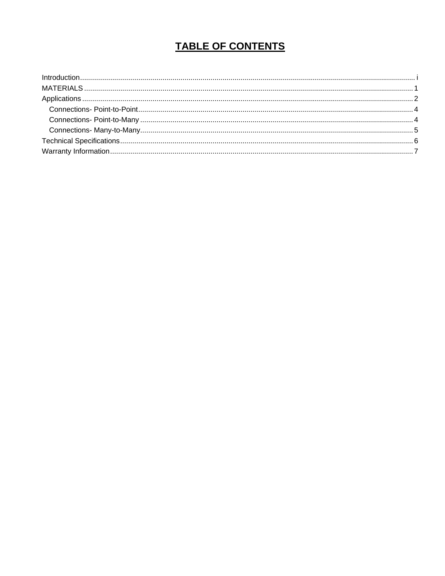### **TABLE OF CONTENTS**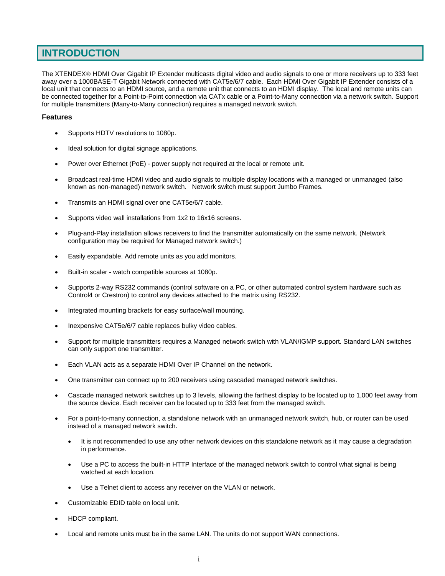### **INTRODUCTION**

The XTENDEX® HDMI Over Gigabit IP Extender multicasts digital video and audio signals to one or more receivers up to 333 feet away over a 1000BASE-T Gigabit Network connected with CAT5e/6/7 cable. Each HDMI Over Gigabit IP Extender consists of a local unit that connects to an HDMI source, and a remote unit that connects to an HDMI display. The local and remote units can be connected together for a Point-to-Point connection via CATx cable or a Point-to-Many connection via a network switch. Support for multiple transmitters (Many-to-Many connection) requires a managed network switch.

### **Features**

- Supports HDTV resolutions to 1080p.
- Ideal solution for digital signage applications.
- Power over Ethernet (PoE) power supply not required at the local or remote unit.
- Broadcast real-time HDMI video and audio signals to multiple display locations with a managed or unmanaged (also known as non-managed) network switch. Network switch must support Jumbo Frames.
- Transmits an HDMI signal over one CAT5e/6/7 cable.
- Supports video wall installations from 1x2 to 16x16 screens.
- Plug-and-Play installation allows receivers to find the transmitter automatically on the same network. (Network configuration may be required for Managed network switch.)
- Easily expandable. Add remote units as you add monitors.
- Built-in scaler watch compatible sources at 1080p.
- Supports 2-way RS232 commands (control software on a PC, or other automated control system hardware such as Control4 or Crestron) to control any devices attached to the matrix using RS232.
- Integrated mounting brackets for easy surface/wall mounting.
- Inexpensive CAT5e/6/7 cable replaces bulky video cables.
- Support for multiple transmitters requires a Managed network switch with VLAN/IGMP support. Standard LAN switches can only support one transmitter.
- Each VLAN acts as a separate HDMI Over IP Channel on the network.
- One transmitter can connect up to 200 receivers using cascaded managed network switches.
- Cascade managed network switches up to 3 levels, allowing the farthest display to be located up to 1,000 feet away from the source device. Each receiver can be located up to 333 feet from the managed switch.
- For a point-to-many connection, a standalone network with an unmanaged network switch, hub, or router can be used instead of a managed network switch.
	- It is not recommended to use any other network devices on this standalone network as it may cause a degradation in performance.
	- Use a PC to access the built-in HTTP Interface of the managed network switch to control what signal is being watched at each location.
	- Use a Telnet client to access any receiver on the VLAN or network.
- Customizable EDID table on local unit.
- HDCP compliant.
- Local and remote units must be in the same LAN. The units do not support WAN connections.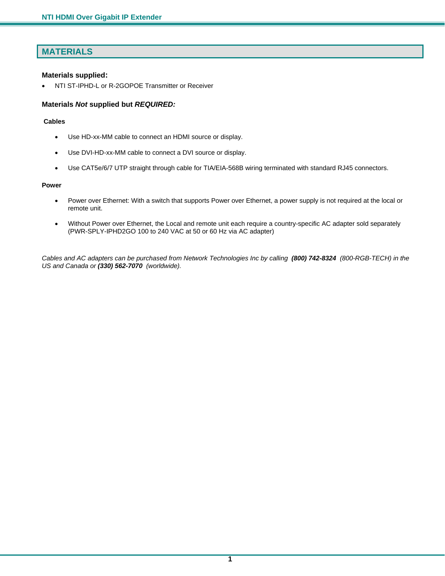### **MATERIALS**

### **Materials supplied:**

• NTI ST-IPHD-L or R-2GOPOE Transmitter or Receiver

### **Materials** *Not* **supplied but** *REQUIRED:*

### **Cables**

- Use HD-xx-MM cable to connect an HDMI source or display.
- Use DVI-HD-xx-MM cable to connect a DVI source or display.
- Use CAT5e/6/7 UTP straight through cable for TIA/EIA-568B wiring terminated with standard RJ45 connectors.

#### **Power**

- Power over Ethernet: With a switch that supports Power over Ethernet, a power supply is not required at the local or remote unit.
- Without Power over Ethernet, the Local and remote unit each require a country-specific AC adapter sold separately (PWR-SPLY-IPHD2GO 100 to 240 VAC at 50 or 60 Hz via AC adapter)

*Cables and AC adapters can be purchased from Network Technologies Inc by calling (800) 742-8324 (800-RGB-TECH) in the US and Canada or (330) 562-7070 (worldwide).*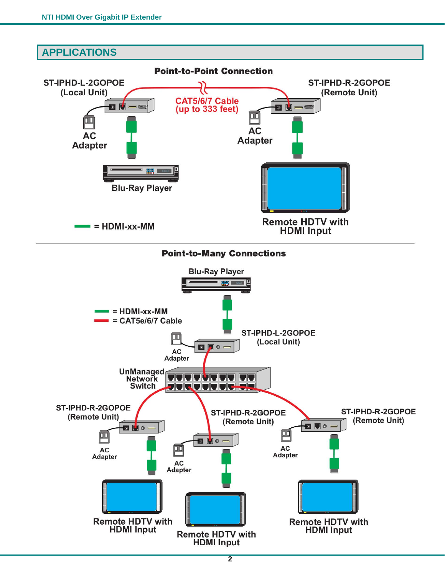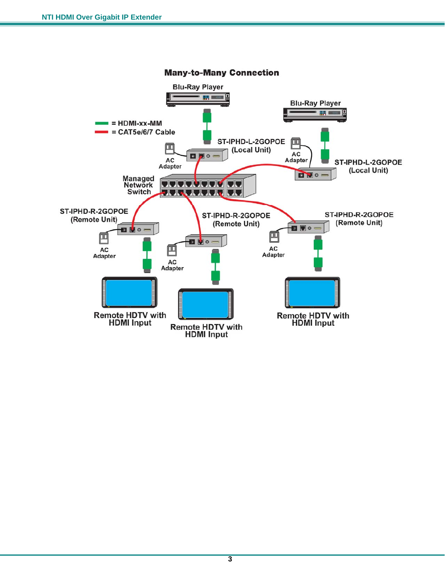

#### **3**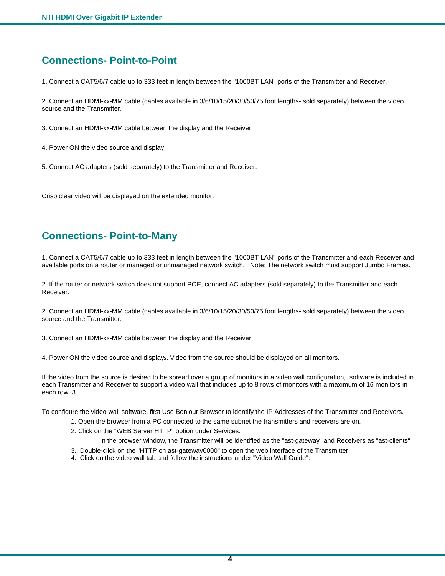### **Connections- Point-to-Point**

1. Connect a CAT5/6/7 cable up to 333 feet in length between the "1000BT LAN" ports of the Transmitter and Receiver.

2. Connect an HDMI-xx-MM cable (cables available in 3/6/10/15/20/30/50/75 foot lengths- sold separately) between the video source and the Transmitter.

3. Connect an HDMI-xx-MM cable between the display and the Receiver.

- 4. Power ON the video source and display.
- 5. Connect AC adapters (sold separately) to the Transmitter and Receiver.

Crisp clear video will be displayed on the extended monitor.

### **Connections- Point-to-Many**

1. Connect a CAT5/6/7 cable up to 333 feet in length between the "1000BT LAN" ports of the Transmitter and each Receiver and available ports on a router or managed or unmanaged network switch. Note: The network switch must support Jumbo Frames.

2. If the router or network switch does not support POE, connect AC adapters (sold separately) to the Transmitter and each Receiver.

2. Connect an HDMI-xx-MM cable (cables available in 3/6/10/15/20/30/50/75 foot lengths- sold separately) between the video source and the Transmitter.

3. Connect an HDMI-xx-MM cable between the display and the Receiver.

4. Power ON the video source and displays. Video from the source should be displayed on all monitors.

If the video from the source is desired to be spread over a group of monitors in a video wall configuration, software is included in each Transmitter and Receiver to support a video wall that includes up to 8 rows of monitors with a maximum of 16 monitors in each row. 3.

To configure the video wall software, first Use Bonjour Browser to identify the IP Addresses of the Transmitter and Receivers.

- 1. Open the browser from a PC connected to the same subnet the transmitters and receivers are on.
- 2. Click on the "WEB Server HTTP" option under Services.
	- In the browser window, the Transmitter will be identified as the "ast-gateway" and Receivers as "ast-clients"
- 3. Double-click on the "HTTP on ast-gateway0000" to open the web interface of the Transmitter.
- 4. Click on the video wall tab and follow the instructions under "Video Wall Guide".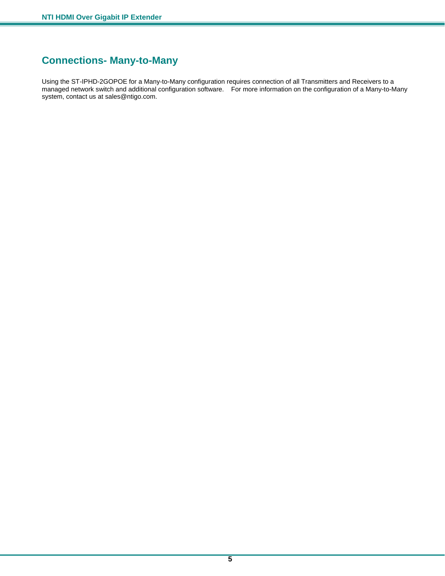### **Connections- Many-to-Many**

Using the ST-IPHD-2GOPOE for a Many-to-Many configuration requires connection of all Transmitters and Receivers to a managed network switch and additional configuration software. For more information on the configuration of a Many-to-Many system, contact us at sales@ntigo.com.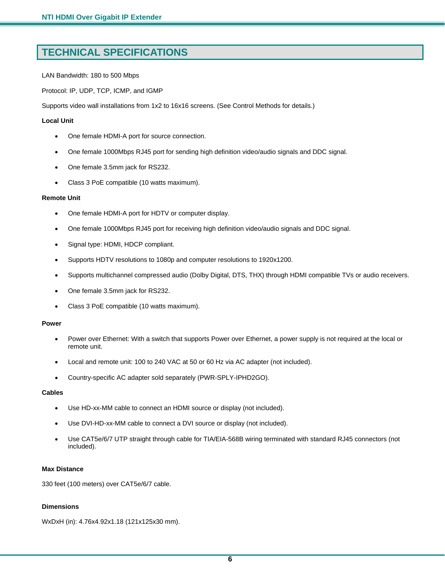### **TECHNICAL SPECIFICATIONS**

LAN Bandwidth: 180 to 500 Mbps

Protocol: IP, UDP, TCP, ICMP, and IGMP

Supports video wall installations from 1x2 to 16x16 screens. (See Control Methods for details.)

### **Local Unit**

- One female HDMI-A port for source connection.
- One female 1000Mbps RJ45 port for sending high definition video/audio signals and DDC signal.
- One female 3.5mm jack for RS232.
- Class 3 PoE compatible (10 watts maximum).

#### **Remote Unit**

- One female HDMI-A port for HDTV or computer display.
- One female 1000Mbps RJ45 port for receiving high definition video/audio signals and DDC signal.
- Signal type: HDMI, HDCP compliant.
- Supports HDTV resolutions to 1080p and computer resolutions to 1920x1200.
- Supports multichannel compressed audio (Dolby Digital, DTS, THX) through HDMI compatible TVs or audio receivers.
- One female 3.5mm jack for RS232.
- Class 3 PoE compatible (10 watts maximum).

### **Power**

- Power over Ethernet: With a switch that supports Power over Ethernet, a power supply is not required at the local or remote unit.
- Local and remote unit: 100 to 240 VAC at 50 or 60 Hz via AC adapter (not included).
- Country-specific AC adapter sold separately (PWR-SPLY-IPHD2GO).

### **Cables**

- Use HD-xx-MM cable to connect an HDMI source or display (not included).
- Use DVI-HD-xx-MM cable to connect a DVI source or display (not included).
- Use CAT5e/6/7 UTP straight through cable for TIA/EIA-568B wiring terminated with standard RJ45 connectors (not included).

### **Max Distance**

330 feet (100 meters) over CAT5e/6/7 cable.

#### **Dimensions**

WxDxH (in): 4.76x4.92x1.18 (121x125x30 mm).